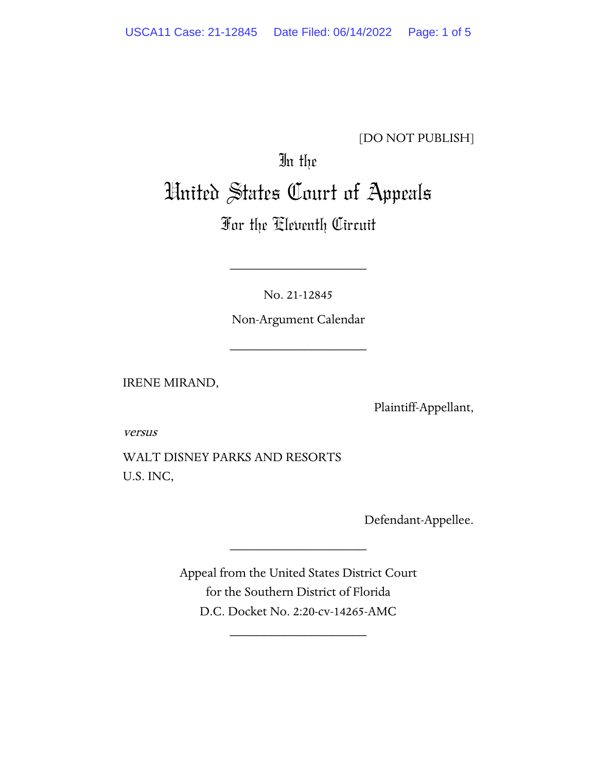#### [DO NOT PUBLISH]

# In the United States Court of Appeals

# For the Eleventh Circuit

No. 21-12845

\_\_\_\_\_\_\_\_\_\_\_\_\_\_\_\_\_\_\_\_

Non-Argument Calendar

\_\_\_\_\_\_\_\_\_\_\_\_\_\_\_\_\_\_\_\_

IRENE MIRAND,

Plaintiff-Appellant,

versus

WALT DISNEY PARKS AND RESORTS U.S. INC,

Defendant-Appellee.

Appeal from the United States District Court for the Southern District of Florida D.C. Docket No. 2:20-cv-14265-AMC

\_\_\_\_\_\_\_\_\_\_\_\_\_\_\_\_\_\_\_\_

\_\_\_\_\_\_\_\_\_\_\_\_\_\_\_\_\_\_\_\_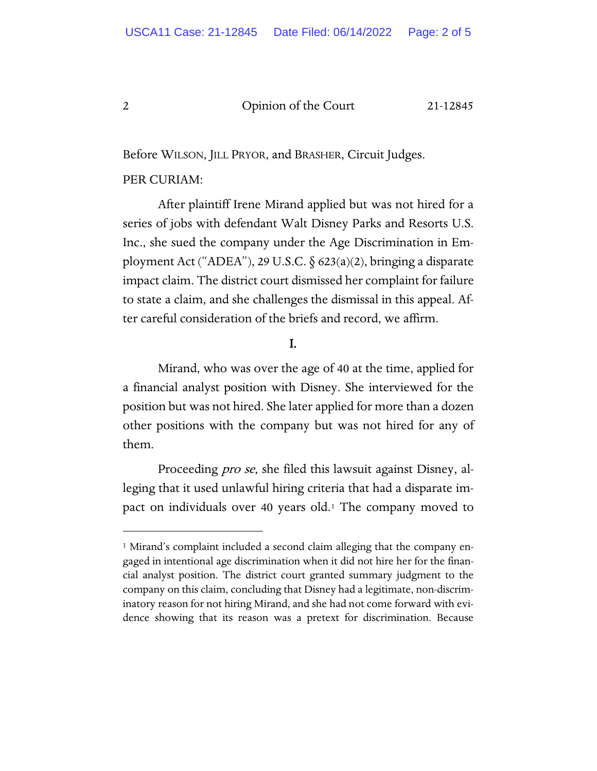#### 2 Opinion of the Court 21-12845

Before WILSON, JILL PRYOR, and BRASHER, Circuit Judges.

#### PER CURIAM:

After plaintiff Irene Mirand applied but was not hired for a series of jobs with defendant Walt Disney Parks and Resorts U.S. Inc., she sued the company under the Age Discrimination in Employment Act ("ADEA"), 29 U.S.C. § 623(a)(2), bringing a disparate impact claim. The district court dismissed her complaint for failure to state a claim, and she challenges the dismissal in this appeal. After careful consideration of the briefs and record, we affirm.

#### I.

Mirand, who was over the age of 40 at the time, applied for a financial analyst position with Disney. She interviewed for the position but was not hired. She later applied for more than a dozen other positions with the company but was not hired for any of them.

Proceeding *pro se*, she filed this lawsuit against Disney, alleging that it used unlawful hiring criteria that had a disparate impact on individuals over 40 years old.[1](#page-1-0) The company moved to

<span id="page-1-0"></span><sup>&</sup>lt;sup>1</sup> Mirand's complaint included a second claim alleging that the company engaged in intentional age discrimination when it did not hire her for the financial analyst position. The district court granted summary judgment to the company on this claim, concluding that Disney had a legitimate, non-discriminatory reason for not hiring Mirand, and she had not come forward with evidence showing that its reason was a pretext for discrimination. Because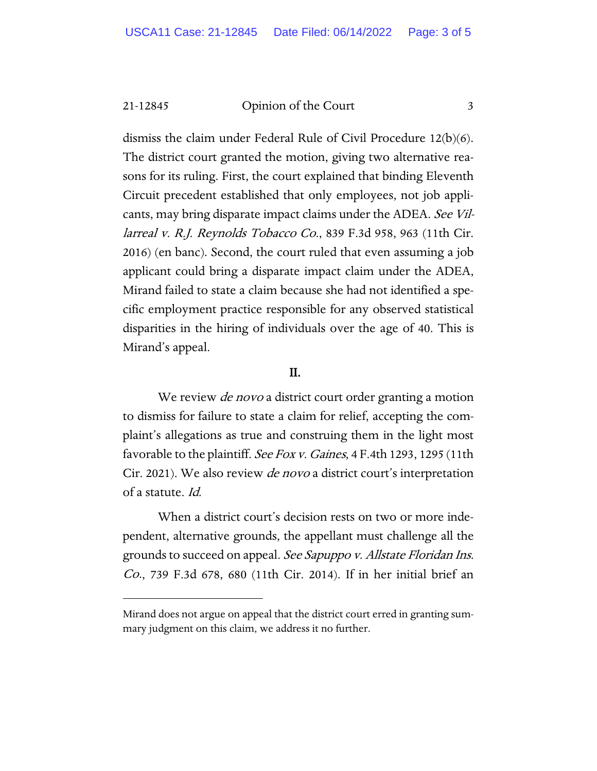21-12845 Opinion of the Court 3

dismiss the claim under Federal Rule of Civil Procedure 12(b)(6). The district court granted the motion, giving two alternative reasons for its ruling. First, the court explained that binding Eleventh Circuit precedent established that only employees, not job applicants, may bring disparate impact claims under the ADEA. See Villarreal v. R.J. Reynolds Tobacco Co., 839 F.3d 958, 963 (11th Cir. 2016) (en banc). Second, the court ruled that even assuming a job applicant could bring a disparate impact claim under the ADEA, Mirand failed to state a claim because she had not identified a specific employment practice responsible for any observed statistical disparities in the hiring of individuals over the age of 40. This is Mirand's appeal.

#### II.

We review *de novo* a district court order granting a motion to dismiss for failure to state a claim for relief, accepting the complaint's allegations as true and construing them in the light most favorable to the plaintiff. *See Fox v. Gaines*, 4 F.4th 1293, 1295 (11th Cir. 2021). We also review *de novo* a district court's interpretation of a statute. Id.

When a district court's decision rests on two or more independent, alternative grounds, the appellant must challenge all the grounds to succeed on appeal. See Sapuppo v. Allstate Floridan Ins. Co., 739 F.3d 678, 680 (11th Cir. 2014). If in her initial brief an

Mirand does not argue on appeal that the district court erred in granting summary judgment on this claim, we address it no further.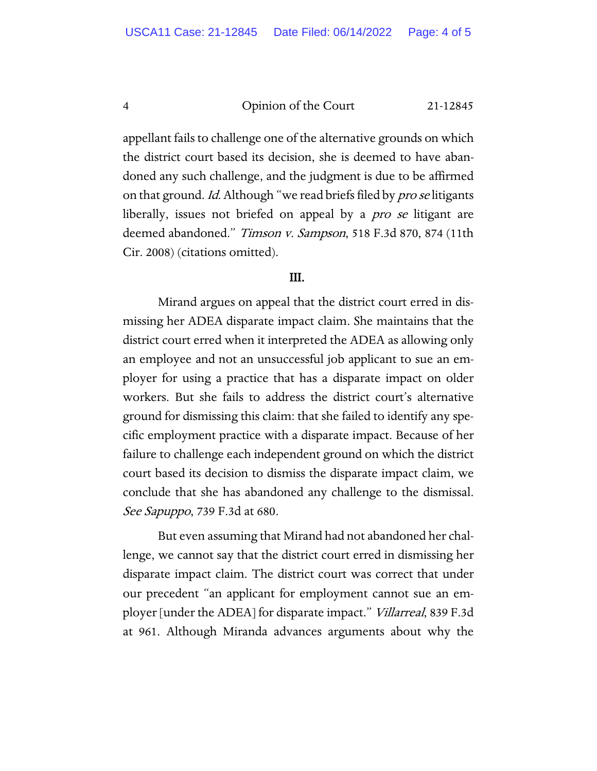#### 4 Opinion of the Court 21-12845

appellant fails to challenge one of the alternative grounds on which the district court based its decision, she is deemed to have abandoned any such challenge, and the judgment is due to be affirmed on that ground. Id. Although "we read briefs filed by *pro se* litigants liberally, issues not briefed on appeal by a *pro se* litigant are deemed abandoned." Timson v. Sampson, 518 F.3d 870, 874 (11th Cir. 2008) (citations omitted).

#### III.

 Mirand argues on appeal that the district court erred in dismissing her ADEA disparate impact claim. She maintains that the district court erred when it interpreted the ADEA as allowing only an employee and not an unsuccessful job applicant to sue an employer for using a practice that has a disparate impact on older workers. But she fails to address the district court's alternative ground for dismissing this claim: that she failed to identify any specific employment practice with a disparate impact. Because of her failure to challenge each independent ground on which the district court based its decision to dismiss the disparate impact claim, we conclude that she has abandoned any challenge to the dismissal. See Sapuppo, 739 F.3d at 680.

But even assuming that Mirand had not abandoned her challenge, we cannot say that the district court erred in dismissing her disparate impact claim. The district court was correct that under our precedent "an applicant for employment cannot sue an employer [under the ADEA] for disparate impact." Villarreal, 839 F.3d at 961. Although Miranda advances arguments about why the